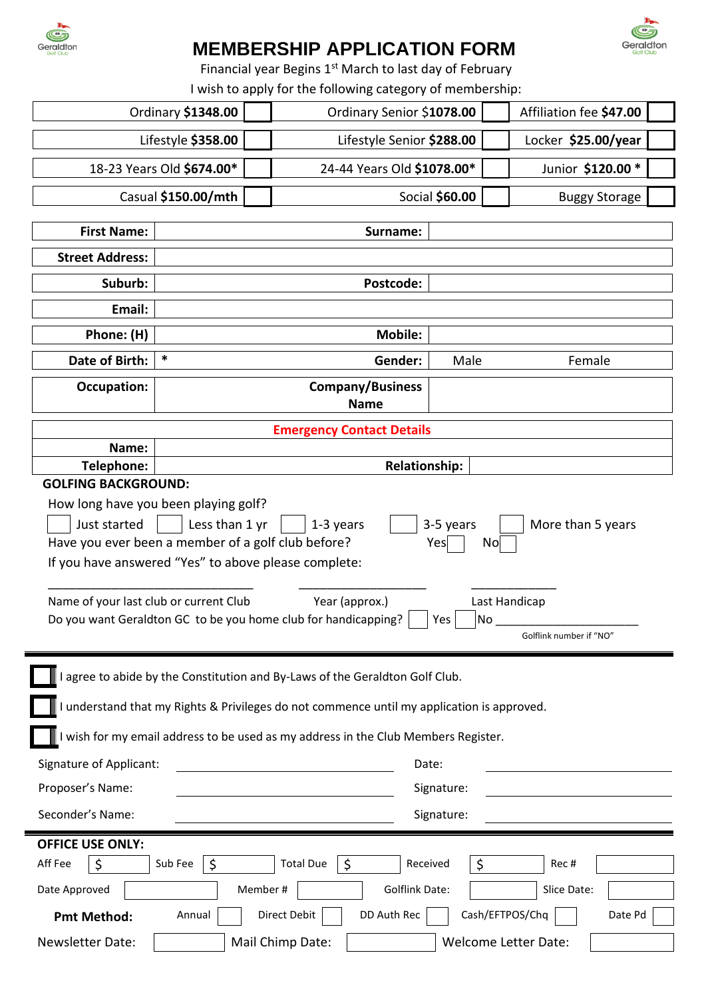

# **MEMBERSHIP APPLICATION FORM**

Geraldton

Financial year Begins 1<sup>st</sup> March to last day of February

I wish to apply for the following category of membership:

| Ordinary \$1348.00                                                                                                                                                                                       |                                        |  | Ordinary Senior \$1078.00  |      | Affiliation fee \$47.00 |
|----------------------------------------------------------------------------------------------------------------------------------------------------------------------------------------------------------|----------------------------------------|--|----------------------------|------|-------------------------|
| Lifestyle \$358.00                                                                                                                                                                                       |                                        |  | Lifestyle Senior \$288.00  |      | Locker \$25.00/year     |
| 18-23 Years Old \$674.00*                                                                                                                                                                                |                                        |  | 24-44 Years Old \$1078.00* |      | Junior \$120.00 *       |
| Casual \$150.00/mth                                                                                                                                                                                      |                                        |  | Social \$60.00             |      | <b>Buggy Storage</b>    |
| <b>First Name:</b>                                                                                                                                                                                       |                                        |  | Surname:                   |      |                         |
| <b>Street Address:</b>                                                                                                                                                                                   |                                        |  |                            |      |                         |
| Suburb:                                                                                                                                                                                                  | Postcode:                              |  |                            |      |                         |
| Email:                                                                                                                                                                                                   |                                        |  |                            |      |                         |
| Phone: (H)                                                                                                                                                                                               | <b>Mobile:</b>                         |  |                            |      |                         |
| Date of Birth:                                                                                                                                                                                           | *<br>Gender:                           |  |                            | Male | Female                  |
| <b>Occupation:</b>                                                                                                                                                                                       | <b>Company/Business</b><br><b>Name</b> |  |                            |      |                         |
| <b>Emergency Contact Details</b>                                                                                                                                                                         |                                        |  |                            |      |                         |
| Name:                                                                                                                                                                                                    |                                        |  |                            |      |                         |
| <b>Relationship:</b><br>Telephone:<br><b>GOLFING BACKGROUND:</b>                                                                                                                                         |                                        |  |                            |      |                         |
| How long have you been playing golf?                                                                                                                                                                     |                                        |  |                            |      |                         |
| Just started<br>Less than 1 yr<br>More than 5 years<br>1-3 years<br>3-5 years<br>Have you ever been a member of a golf club before?<br>Yes<br>No<br>If you have answered "Yes" to above please complete: |                                        |  |                            |      |                         |
| Name of your last club or current Club<br>Year (approx.)<br>Last Handicap<br>Do you want Geraldton GC to be you home club for handicapping?<br>No<br>Yes<br>Golflink number if "NO"                      |                                        |  |                            |      |                         |
| I agree to abide by the Constitution and By-Laws of the Geraldton Golf Club.                                                                                                                             |                                        |  |                            |      |                         |
| I understand that my Rights & Privileges do not commence until my application is approved.                                                                                                               |                                        |  |                            |      |                         |
| I wish for my email address to be used as my address in the Club Members Register.                                                                                                                       |                                        |  |                            |      |                         |
| <b>Signature of Applicant:</b>                                                                                                                                                                           | Date:                                  |  |                            |      |                         |
| Proposer's Name:                                                                                                                                                                                         | Signature:                             |  |                            |      |                         |
| Seconder's Name:<br>Signature:                                                                                                                                                                           |                                        |  |                            |      |                         |
| <b>OFFICE USE ONLY:</b>                                                                                                                                                                                  |                                        |  |                            |      |                         |
| <b>Total Due</b><br>Aff Fee<br>\$<br>Sub Fee<br>\$<br>\$<br>Received<br>\$<br>Rec#                                                                                                                       |                                        |  |                            |      |                         |
| Date Approved<br><b>Golflink Date:</b><br>Member#<br>Slice Date:                                                                                                                                         |                                        |  |                            |      |                         |
| Direct Debit<br>DD Auth Rec<br>Cash/EFTPOS/Chq<br>Date Pd<br>Annual<br><b>Pmt Method:</b>                                                                                                                |                                        |  |                            |      |                         |
| Newsletter Date:<br>Mail Chimp Date:<br>Welcome Letter Date:                                                                                                                                             |                                        |  |                            |      |                         |